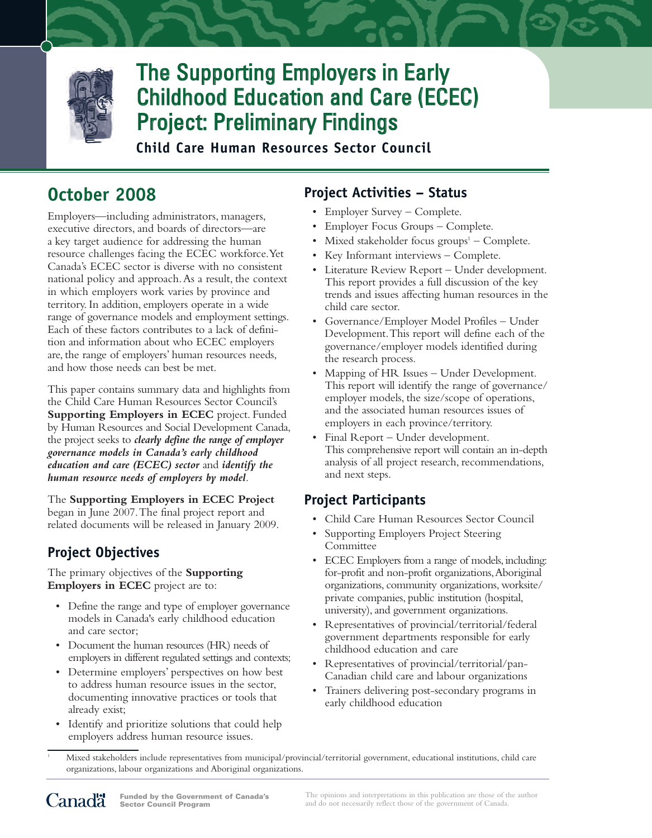

# The Supporting Employers in Early Childhood Education and Care (ECEC) Project: Preliminary Findings

**Child Care Human Resources Sector Council**

# **October 2008**

Employers—including administrators, managers, executive directors, and boards of directors—are a key target audience for addressing the human resource challenges facing the ECEC workforce.Yet Canada's ECEC sector is diverse with no consistent national policy and approach.As a result, the context in which employers work varies by province and territory. In addition, employers operate in a wide range of governance models and employment settings. Each of these factors contributes to a lack of definition and information about who ECEC employers are, the range of employers' human resources needs, and how those needs can best be met.

This paper contains summary data and highlights from the Child Care Human Resources Sector Council's **Supporting Employers in ECEC** project. Funded by Human Resources and Social Development Canada, the project seeks to *clearly define the range of employer governance models in Canada's early childhood education and care (ECEC) sector* and *identify the human resource needs of employers by model*.

The **Supporting Employers in ECEC Project** began in June 2007.The final project report and related documents will be released in January 2009.

## **Project Objectives**

The primary objectives of the **Supporting Employers in ECEC** project are to:

- Define the range and type of employer governance models in Canada's early childhood education and care sector;
- Document the human resources (HR) needs of employers in different regulated settings and contexts;
- Determine employers' perspectives on how best to address human resource issues in the sector, documenting innovative practices or tools that already exist;
- Identify and prioritize solutions that could help employers address human resource issues.

## **Project Activities – Status**

- Employer Survey Complete.
- Employer Focus Groups Complete.
- Mixed stakeholder focus groups $<sup>1</sup>$  Complete.</sup>
- Key Informant interviews Complete.
- Literature Review Report Under development. This report provides a full discussion of the key trends and issues affecting human resources in the child care sector.
- Governance/Employer Model Profiles Under Development.This report will define each of the governance/employer models identified during the research process.
- Mapping of HR Issues Under Development. This report will identify the range of governance/ employer models, the size/scope of operations, and the associated human resources issues of employers in each province/territory.
- Final Report Under development. This comprehensive report will contain an in-depth analysis of all project research, recommendations, and next steps.

## **Project Participants**

- Child Care Human Resources Sector Council
- Supporting Employers Project Steering Committee
- ECEC Employers from a range of models, including: for-profit and non-profit organizations,Aboriginal organizations, community organizations, worksite/ private companies, public institution (hospital, university), and government organizations.
- Representatives of provincial/territorial/federal government departments responsible for early childhood education and care
- Representatives of provincial/territorial/pan-Canadian child care and labour organizations
- Trainers delivering post-secondary programs in early childhood education
- <sup>1</sup> Mixed stakeholders include representatives from municipal/provincial/territorial government, educational institutions, child care organizations, labour organizations and Aboriginal organizations.

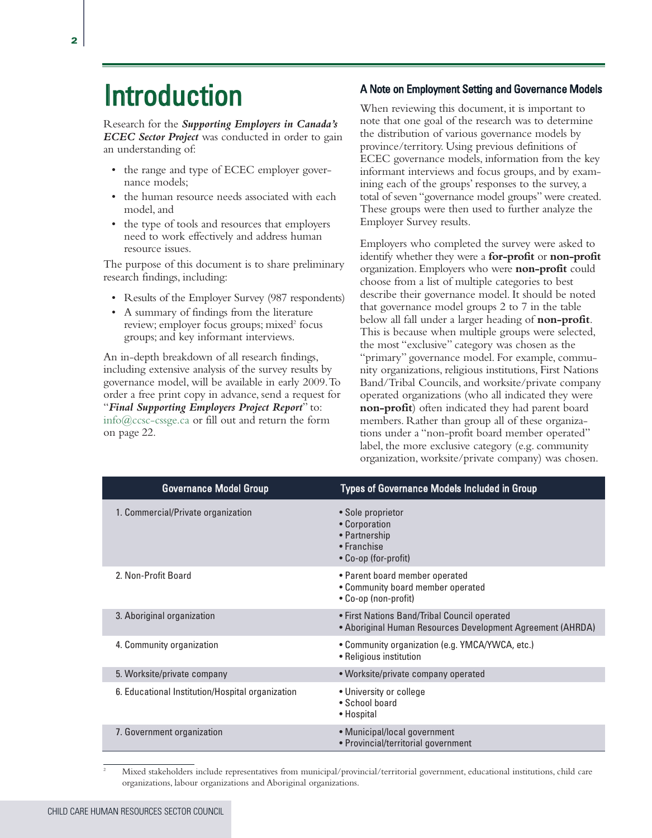# Introduction

Research for the *Supporting Employers in Canada's ECEC Sector Project* was conducted in order to gain an understanding of:

- the range and type of ECEC employer governance models;
- the human resource needs associated with each model, and
- the type of tools and resources that employers need to work effectively and address human resource issues.

The purpose of this document is to share preliminary research findings, including:

- Results of the Employer Survey (987 respondents)
- A summary of findings from the literature review; employer focus groups; mixed<sup>2</sup> focus groups; and key informant interviews.

An in-depth breakdown of all research findings, including extensive analysis of the survey results by governance model, will be available in early 2009. To order a free print copy in advance, send a request for "*Final Supporting Employers Project Report*" to: info@ccsc-cssge.ca or fill out and return the form on page 22.

#### A Note on Employment Setting and Governance Models

When reviewing this document, it is important to note that one goal of the research was to determine the distribution of various governance models by province/territory. Using previous definitions of ECEC governance models, information from the key informant interviews and focus groups, and by examining each of the groups' responses to the survey, a total of seven "governance model groups" were created. These groups were then used to further analyze the Employer Survey results.

Employers who completed the survey were asked to identify whether they were a **for-profit** or **non-profit** organization. Employers who were **non-profit** could choose from a list of multiple categories to best describe their governance model. It should be noted that governance model groups 2 to 7 in the table below all fall under a larger heading of **non-profit**. This is because when multiple groups were selected, the most "exclusive" category was chosen as the "primary" governance model. For example, community organizations, religious institutions, First Nations Band/Tribal Councils, and worksite/private company operated organizations (who all indicated they were **non-profit**) often indicated they had parent board members. Rather than group all of these organizations under a "non-profit board member operated" label, the more exclusive category (e.g. community organization, worksite/private company) was chosen.

| <b>Governance Model Group</b>                    | <b>Types of Governance Models Included in Group</b>                                                        |
|--------------------------------------------------|------------------------------------------------------------------------------------------------------------|
| 1. Commercial/Private organization               | • Sole proprietor<br>• Corporation<br>• Partnership<br>• Franchise<br>• Co-op (for-profit)                 |
| 2. Non-Profit Board                              | • Parent board member operated<br>• Community board member operated<br>• Co-op (non-profit)                |
| 3. Aboriginal organization                       | • First Nations Band/Tribal Council operated<br>• Aboriginal Human Resources Development Agreement (AHRDA) |
| 4. Community organization                        | • Community organization (e.g. YMCA/YWCA, etc.)<br>• Religious institution                                 |
| 5. Worksite/private company                      | • Worksite/private company operated                                                                        |
| 6. Educational Institution/Hospital organization | • University or college<br>• School board<br>• Hospital                                                    |
| 7. Government organization                       | • Municipal/local government<br>• Provincial/territorial government                                        |

<sup>2</sup> Mixed stakeholders include representatives from municipal/provincial/territorial government, educational institutions, child care organizations, labour organizations and Aboriginal organizations.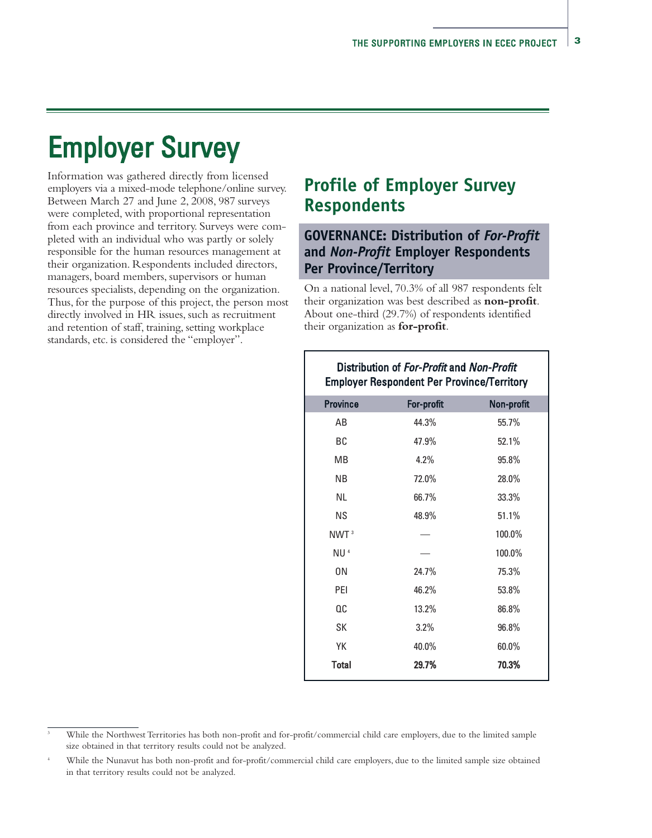# Employer Survey

Information was gathered directly from licensed employers via a mixed-mode telephone/online survey. Between March 27 and June 2, 2008, 987 surveys were completed, with proportional representation from each province and territory. Surveys were completed with an individual who was partly or solely responsible for the human resources management at their organization. Respondents included directors, managers, board members, supervisors or human resources specialists, depending on the organization. Thus, for the purpose of this project, the person most directly involved in HR issues, such as recruitment and retention of staff, training, setting workplace standards, etc. is considered the "employer".

# **Profile of Employer Survey Respondents**

## **GOVERNANCE: Distribution of** *For-Profit* **and** *Non-Profit* **Employer Respondents Per Province/Territory**

On a national level, 70.3% of all 987 respondents felt their organization was best described as **non-profit**. About one-third (29.7%) of respondents identified their organization as **for-profit**.

| Distribution of For-Profit and Non-Profit<br><b>Employer Respondent Per Province/Territory</b> |            |            |  |  |  |
|------------------------------------------------------------------------------------------------|------------|------------|--|--|--|
| <b>Province</b>                                                                                | For-profit | Non-profit |  |  |  |
| AB                                                                                             | 44.3%      | 55.7%      |  |  |  |
| BC                                                                                             | 47.9%      | 52.1%      |  |  |  |
| МB                                                                                             | 4.2%       | 95.8%      |  |  |  |
| ΝB                                                                                             | 72.0%      | 28.0%      |  |  |  |
| NL.                                                                                            | 66.7%      | 33.3%      |  |  |  |
| <b>NS</b>                                                                                      | 48.9%      | 51.1%      |  |  |  |
| NWT <sup>3</sup>                                                                               |            | 100.0%     |  |  |  |
| NU <sup>4</sup>                                                                                |            | 100.0%     |  |  |  |
| 0N                                                                                             | 24.7%      | 75.3%      |  |  |  |
| PEI                                                                                            | 46.2%      | 53.8%      |  |  |  |
| QC                                                                                             | 13.2%      | 86.8%      |  |  |  |
| SK                                                                                             | 3.2%       | 96.8%      |  |  |  |
| YΚ                                                                                             | 40.0%      | 60.0%      |  |  |  |
| <b>Total</b>                                                                                   | 29.7%      | 70.3%      |  |  |  |

<sup>3</sup> While the Northwest Territories has both non-profit and for-profit/commercial child care employers, due to the limited sample size obtained in that territory results could not be analyzed.

<sup>4</sup> While the Nunavut has both non-profit and for-profit/commercial child care employers, due to the limited sample size obtained in that territory results could not be analyzed.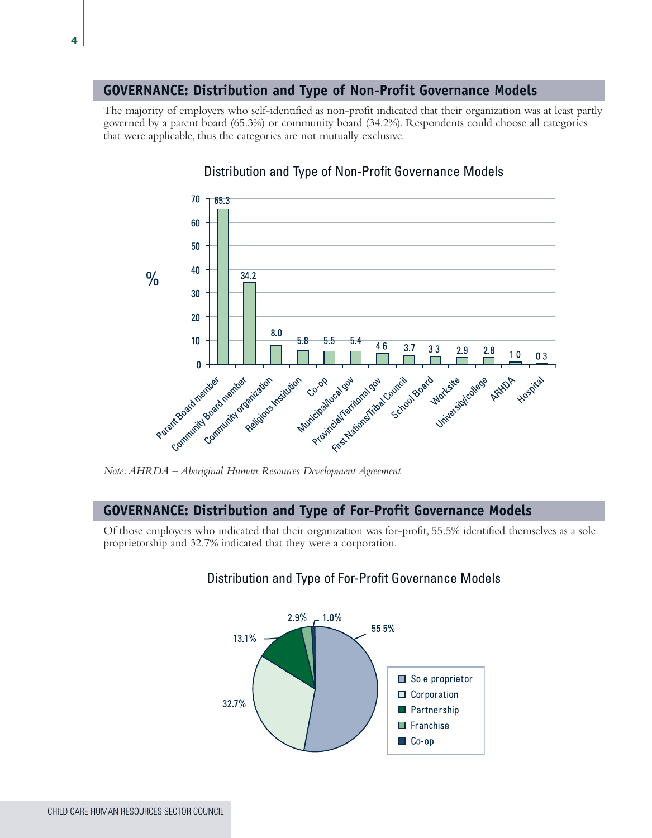#### **GOVERNANCE: Distribution and Type of Non-Profit Governance Models**

The majority of employers who self-identified as non-profit indicated that their organization was at least partly governed by a parent board (65.3%) or community board (34.2%). Respondents could choose all categories that were applicable, thus the categories are not mutually exclusive.



#### Distribution and Type of Non-Profit Governance Models

#### **GOVERNANCE: Distribution and Type of For-Profit Governance Models**

Of those employers who indicated that their organization was for-profit, 55.5% identified themselves as a sole proprietorship and 32.7% indicated that they were a corporation.



#### Distribution and Type of For-Profit Governance Models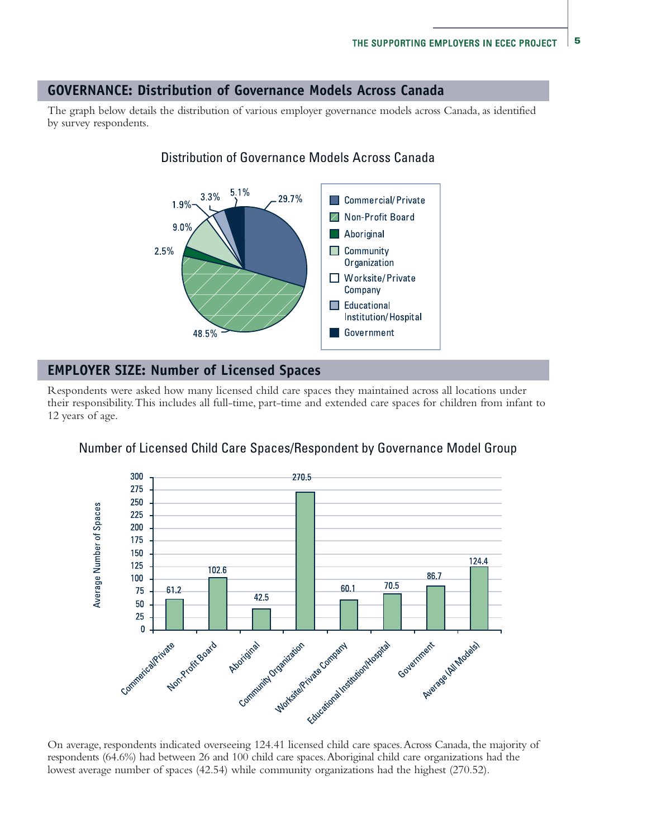#### **GOVERNANCE: Distribution of Governance Models Across Canada**

The graph below details the distribution of various employer governance models across Canada, as identified by survey respondents.



### Distribution of Governance Models Across Canada

#### **EMPLOYER SIZE: Number of Licensed Spaces**

Respondents were asked how many licensed child care spaces they maintained across all locations under their responsibility. This includes all full-time, part-time and extended care spaces for children from infant to 12 years of age.



#### Number of Licensed Child Care Spaces/Respondent by Governance Model Group

On average, respondents indicated overseeing 124.41 licensed child care spaces. Across Canada, the majority of respondents (64.6%) had between 26 and 100 child care spaces. Aboriginal child care organizations had the lowest average number of spaces (42.54) while community organizations had the highest (270.52).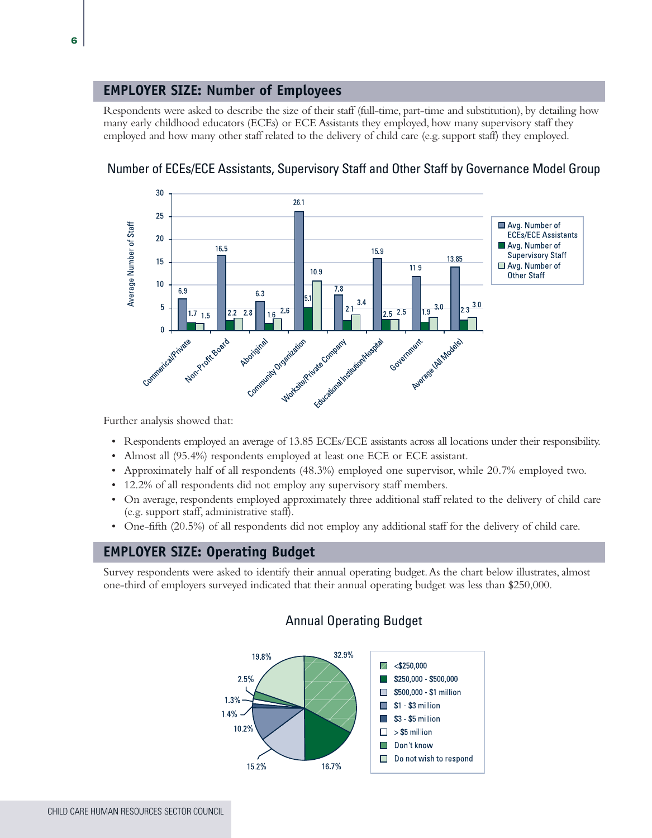#### **EMPLOYER SIZE: Number of Employees**

Respondents were asked to describe the size of their staff (full-time, part-time and substitution), by detailing how many early childhood educators (ECEs) or ECE Assistants they employed, how many supervisory staff they employed and how many other staff related to the delivery of child care (e.g. support staff) they employed.



### Number of ECEs/ECE Assistants, Supervisory Staff and Other Staff by Governance Model Group

Further analysis showed that:

- Respondents employed an average of 13.85 ECEs/ECE assistants across all locations under their responsibility.
- Almost all (95.4%) respondents employed at least one ECE or ECE assistant.
- Approximately half of all respondents (48.3%) employed one supervisor, while 20.7% employed two.
- 12.2% of all respondents did not employ any supervisory staff members.
- On average, respondents employed approximately three additional staff related to the delivery of child care (e.g. support staff, administrative staff).
- One-fifth (20.5%) of all respondents did not employ any additional staff for the delivery of child care.

#### **EMPLOYER SIZE: Operating Budget**

Survey respondents were asked to identify their annual operating budget. As the chart below illustrates, almost one-third of employers surveyed indicated that their annual operating budget was less than \$250,000.



#### Annual Operating Budget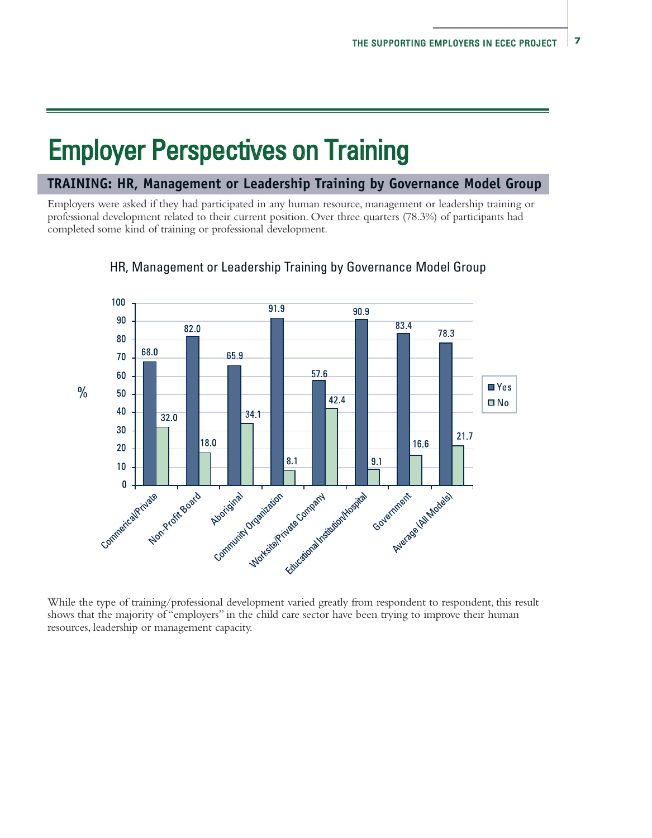# Employer Perspectives on Training

#### **TRAINING: HR, Management or Leadership Training by Governance Model Group**

Employers were asked if they had participated in any human resource, management or leadership training or professional development related to their current position. Over three quarters (78.3%) of participants had completed some kind of training or professional development.



#### HR, Management or Leadership Training by Governance Model Group

While the type of training/professional development varied greatly from respondent to respondent, this result shows that the majority of "employers" in the child care sector have been trying to improve their human resources, leadership or management capacity.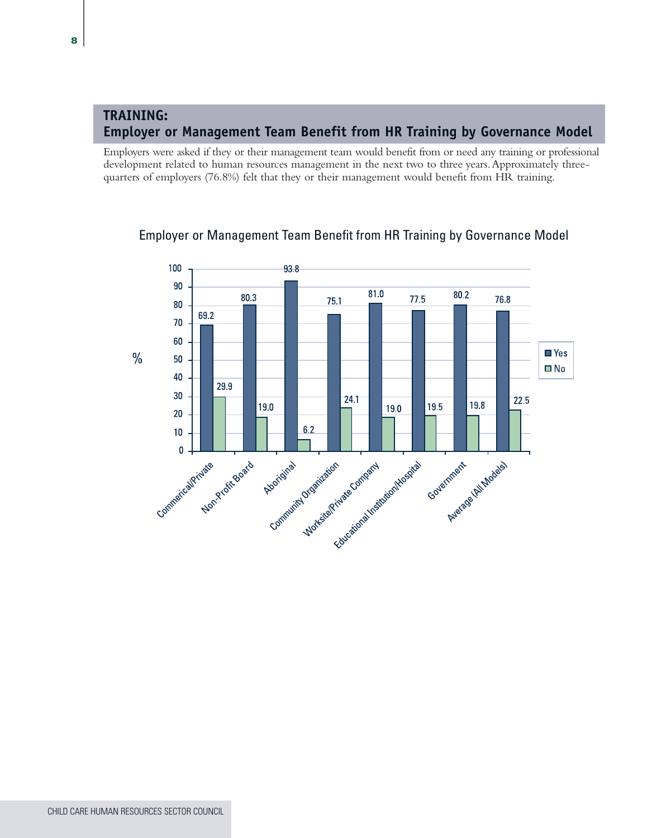### **TRAINING: Employer or Management Team Benefit from HR Training by Governance Model**

Employers were asked if they or their management team would benefit from or need any training or professional development related to human resources management in the next two to three years. Approximately threequarters of employers (76.8%) felt that they or their management would benefit from HR training.



### Employer or Management Team Benefit from HR Training by Governance Model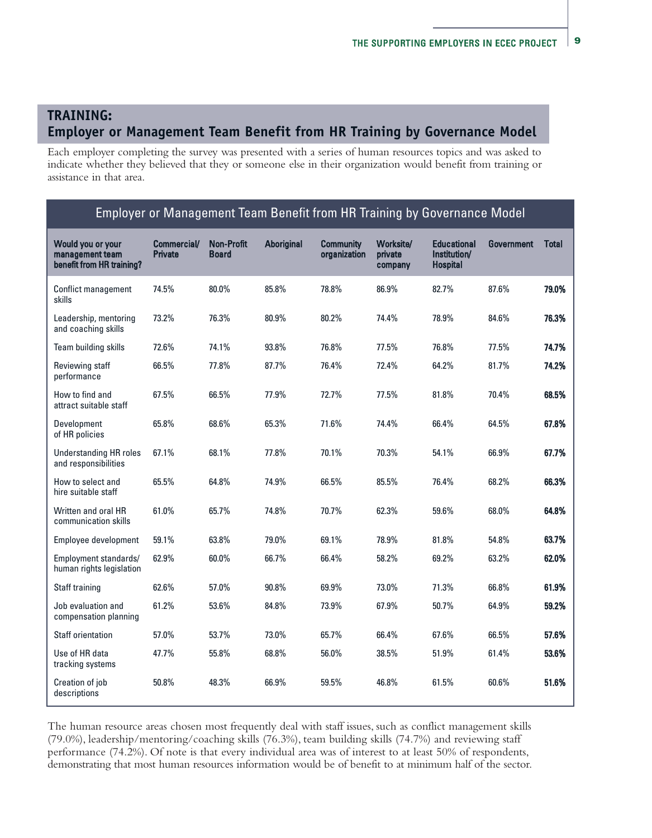### **TRAINING: Employer or Management Team Benefit from HR Training by Governance Model**

Each employer completing the survey was presented with a series of human resources topics and was asked to indicate whether they believed that they or someone else in their organization would benefit from training or assistance in that area.

#### Employer or Management Team Benefit from HR Training by Governance Model

| Would you or your<br>management team<br>benefit from HR training? | <b>Commercial/</b><br><b>Private</b> | <b>Non-Profit</b><br>Board | <b>Aboriginal</b> | <b>Community</b><br>organization | Worksite/<br>private<br>company | <b>Educational</b><br>Institution/<br><b>Hospital</b> | <b>Government</b> | <b>Total</b> |
|-------------------------------------------------------------------|--------------------------------------|----------------------------|-------------------|----------------------------------|---------------------------------|-------------------------------------------------------|-------------------|--------------|
| <b>Conflict management</b><br>skills                              | 74.5%                                | 80.0%                      | 85.8%             | 78.8%                            | 86.9%                           | 82.7%                                                 | 87.6%             | 79.0%        |
| Leadership, mentoring<br>and coaching skills                      | 73.2%                                | 76.3%                      | 80.9%             | 80.2%                            | 74.4%                           | 78.9%                                                 | 84.6%             | 76.3%        |
| Team building skills                                              | 72.6%                                | 74.1%                      | 93.8%             | 76.8%                            | 77.5%                           | 76.8%                                                 | 77.5%             | 74.7%        |
| Reviewing staff<br>performance                                    | 66.5%                                | 77.8%                      | 87.7%             | 76.4%                            | 72.4%                           | 64.2%                                                 | 81.7%             | 74.2%        |
| How to find and<br>attract suitable staff                         | 67.5%                                | 66.5%                      | 77.9%             | 72.7%                            | 77.5%                           | 81.8%                                                 | 70.4%             | 68.5%        |
| Development<br>of HR policies                                     | 65.8%                                | 68.6%                      | 65.3%             | 71.6%                            | 74.4%                           | 66.4%                                                 | 64.5%             | 67.8%        |
| <b>Understanding HR roles</b><br>and responsibilities             | 67.1%                                | 68.1%                      | 77.8%             | 70.1%                            | 70.3%                           | 54.1%                                                 | 66.9%             | 67.7%        |
| How to select and<br>hire suitable staff                          | 65.5%                                | 64.8%                      | 74.9%             | 66.5%                            | 85.5%                           | 76.4%                                                 | 68.2%             | 66.3%        |
| Written and oral HR<br>communication skills                       | 61.0%                                | 65.7%                      | 74.8%             | 70.7%                            | 62.3%                           | 59.6%                                                 | 68.0%             | 64.8%        |
| Employee development                                              | 59.1%                                | 63.8%                      | 79.0%             | 69.1%                            | 78.9%                           | 81.8%                                                 | 54.8%             | 63.7%        |
| Employment standards/<br>human rights legislation                 | 62.9%                                | 60.0%                      | 66.7%             | 66.4%                            | 58.2%                           | 69.2%                                                 | 63.2%             | 62.0%        |
| Staff training                                                    | 62.6%                                | 57.0%                      | 90.8%             | 69.9%                            | 73.0%                           | 71.3%                                                 | 66.8%             | 61.9%        |
| Job evaluation and<br>compensation planning                       | 61.2%                                | 53.6%                      | 84.8%             | 73.9%                            | 67.9%                           | 50.7%                                                 | 64.9%             | 59.2%        |
| <b>Staff orientation</b>                                          | 57.0%                                | 53.7%                      | 73.0%             | 65.7%                            | 66.4%                           | 67.6%                                                 | 66.5%             | 57.6%        |
| Use of HR data<br>tracking systems                                | 47.7%                                | 55.8%                      | 68.8%             | 56.0%                            | 38.5%                           | 51.9%                                                 | 61.4%             | 53.6%        |
| Creation of job<br>descriptions                                   | 50.8%                                | 48.3%                      | 66.9%             | 59.5%                            | 46.8%                           | 61.5%                                                 | 60.6%             | 51.6%        |

The human resource areas chosen most frequently deal with staff issues, such as conflict management skills (79.0%), leadership/mentoring/coaching skills (76.3%), team building skills (74.7%) and reviewing staff performance (74.2%). Of note is that every individual area was of interest to at least 50% of respondents, demonstrating that most human resources information would be of benefit to at minimum half of the sector.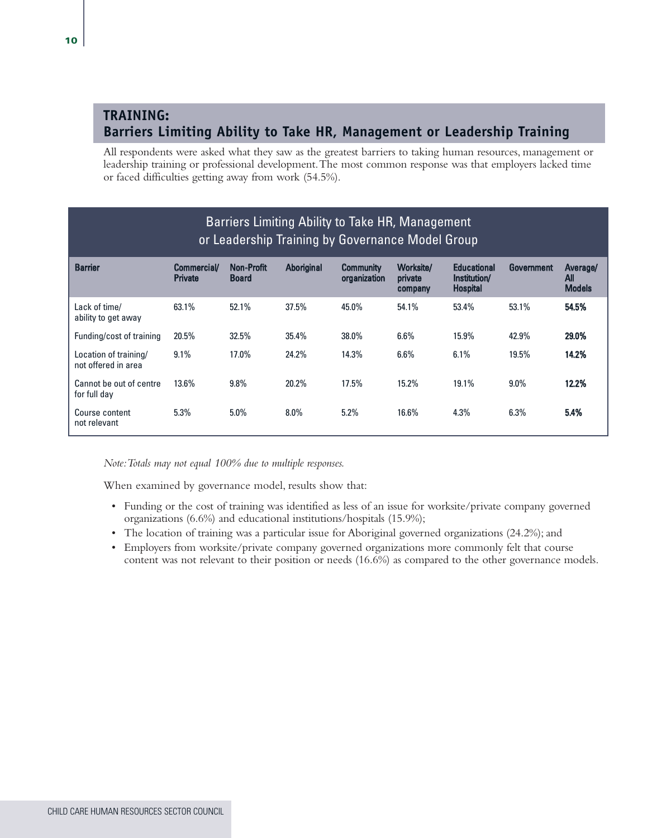### **TRAINING: Barriers Limiting Ability to Take HR, Management or Leadership Training**

All respondents were asked what they saw as the greatest barriers to taking human resources, management or leadership training or professional development. The most common response was that employers lacked time or faced difficulties getting away from work (54.5%).

| Barriers Limiting Ability to Take HR, Management<br>or Leadership Training by Governance Model Group |                                     |                                   |            |                                  |                                 |                                                       |            |                                  |
|------------------------------------------------------------------------------------------------------|-------------------------------------|-----------------------------------|------------|----------------------------------|---------------------------------|-------------------------------------------------------|------------|----------------------------------|
| <b>Barrier</b>                                                                                       | <b>Commercial</b><br><b>Private</b> | <b>Non-Profit</b><br><b>Board</b> | Aboriginal | <b>Community</b><br>organization | Worksite/<br>private<br>company | <b>Educational</b><br>Institution/<br><b>Hospital</b> | Government | Average/<br>All<br><b>Models</b> |
| Lack of time/<br>ability to get away                                                                 | 63.1%                               | 52.1%                             | 37.5%      | 45.0%                            | 54.1%                           | 53.4%                                                 | 53.1%      | 54.5%                            |
| Funding/cost of training                                                                             | 20.5%                               | 32.5%                             | 35.4%      | 38.0%                            | 6.6%                            | 15.9%                                                 | 42.9%      | 29.0%                            |
| Location of training/<br>not offered in area                                                         | 9.1%                                | $17.0\%$                          | 24.2%      | 14.3%                            | 6.6%                            | 6.1%                                                  | 19.5%      | 14.2%                            |
| Cannot be out of centre<br>for full day                                                              | $13.6\%$                            | $9.8\%$                           | 20.2%      | 17.5%                            | 15.2%                           | 19.1%                                                 | $9.0\%$    | 12.2%                            |
| Course content<br>not relevant                                                                       | 5.3%                                | 5.0%                              | $8.0\%$    | 5.2%                             | 16.6%                           | 4.3%                                                  | 6.3%       | 5.4%                             |

*Note: Totals may not equal 100% due to multiple responses.*

When examined by governance model, results show that:

- Funding or the cost of training was identified as less of an issue for worksite/private company governed organizations (6.6%) and educational institutions/hospitals (15.9%);
- The location of training was a particular issue for Aboriginal governed organizations (24.2%); and
- Employers from worksite/private company governed organizations more commonly felt that course content was not relevant to their position or needs (16.6%) as compared to the other governance models.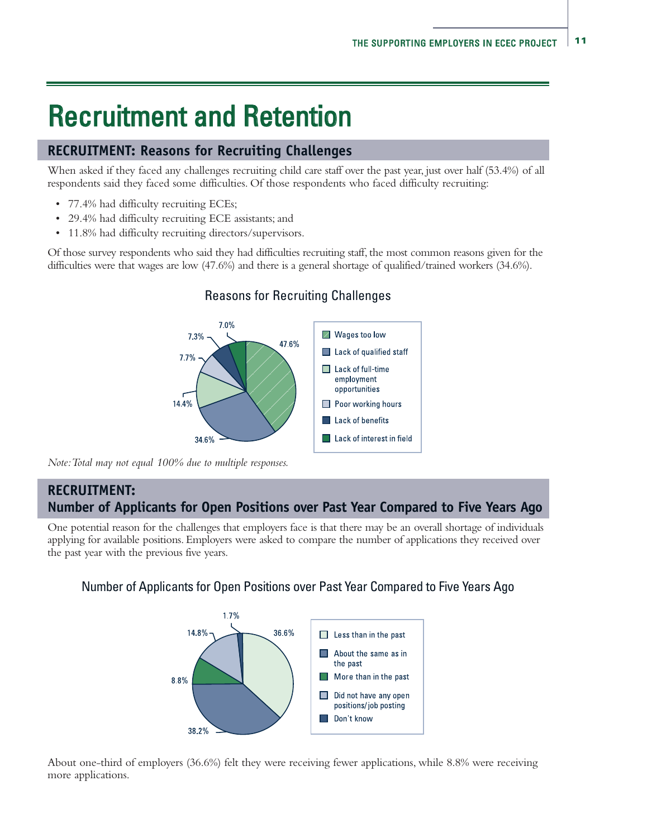# Recruitment and Retention

#### **RECRUITMENT: Reasons for Recruiting Challenges**

When asked if they faced any challenges recruiting child care staff over the past year, just over half (53.4%) of all respondents said they faced some difficulties. Of those respondents who faced difficulty recruiting:

- 77.4% had difficulty recruiting ECEs;
- 29.4% had difficulty recruiting ECE assistants; and
- 11.8% had difficulty recruiting directors/supervisors.

Of those survey respondents who said they had difficulties recruiting staff, the most common reasons given for the difficulties were that wages are low (47.6%) and there is a general shortage of qualified/trained workers (34.6%).



#### Reasons for Recruiting Challenges

*Note: Total may not equal 100% due to multiple responses.*

#### **RECRUITMENT: Number of Applicants for Open Positions over Past Year Compared to Five Years Ago**

One potential reason for the challenges that employers face is that there may be an overall shortage of individuals applying for available positions. Employers were asked to compare the number of applications they received over the past year with the previous five years.

#### Number of Applicants for Open Positions over Past Year Compared to Five Years Ago



About one-third of employers (36.6%) felt they were receiving fewer applications, while 8.8% were receiving more applications.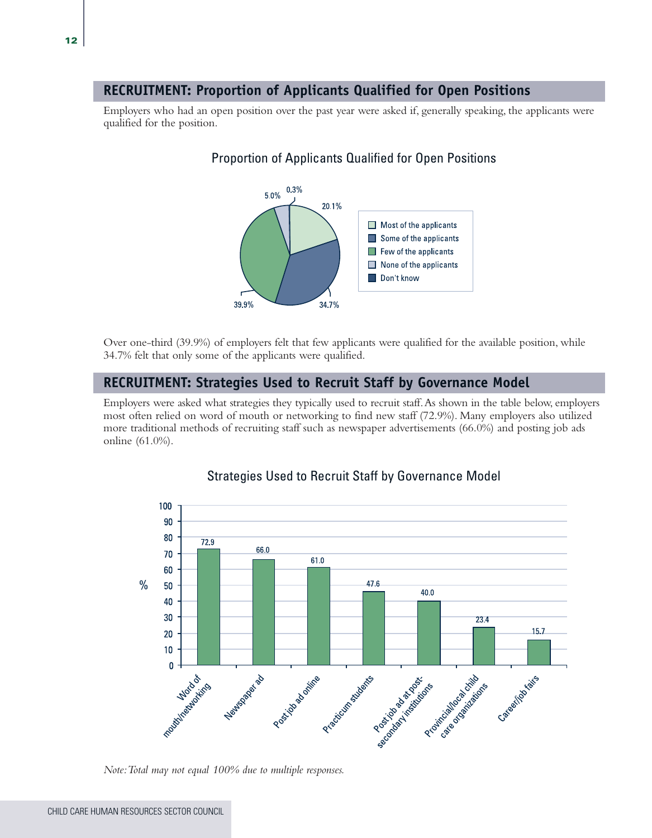#### **RECRUITMENT: Proportion of Applicants Qualified for Open Positions**

Employers who had an open position over the past year were asked if, generally speaking, the applicants were qualified for the position.

#### Proportion of Applicants Qualified for Open Positions



Over one-third (39.9%) of employers felt that few applicants were qualified for the available position, while 34.7% felt that only some of the applicants were qualified.

#### **RECRUITMENT: Strategies Used to Recruit Staff by Governance Model**

Employers were asked what strategies they typically used to recruit staff. As shown in the table below, employers most often relied on word of mouth or networking to find new staff (72.9%). Many employers also utilized more traditional methods of recruiting staff such as newspaper advertisements (66.0%) and posting job ads online (61.0%).



#### Strategies Used to Recruit Staff by Governance Model

*Note: Total may not equal 100% due to multiple responses.*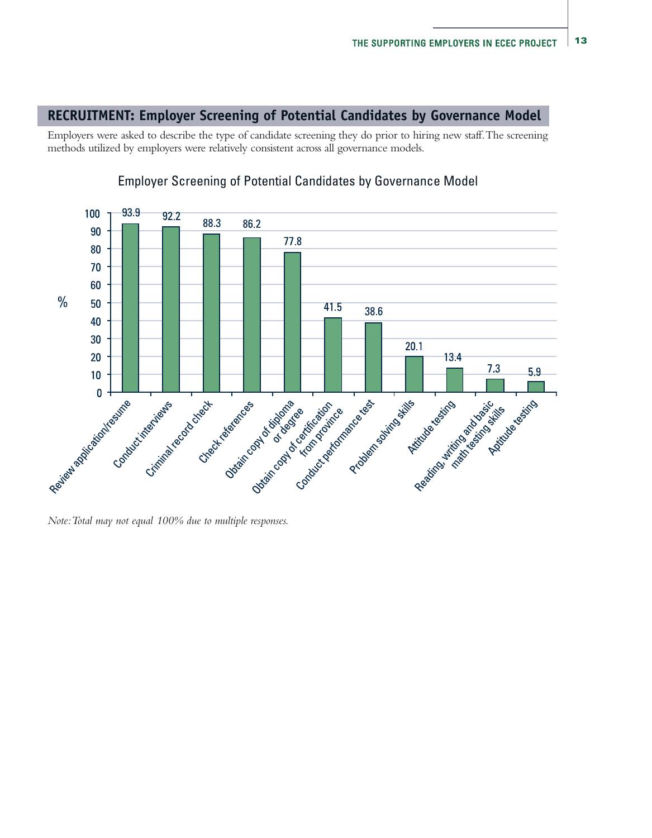#### **RECRUITMENT: Employer Screening of Potential Candidates by Governance Model**

Employers were asked to describe the type of candidate screening they do prior to hiring new staff. The screening methods utilized by employers were relatively consistent across all governance models.



#### Employer Screening of Potential Candidates by Governance Model

*Note: Total may not equal 100% due to multiple responses.*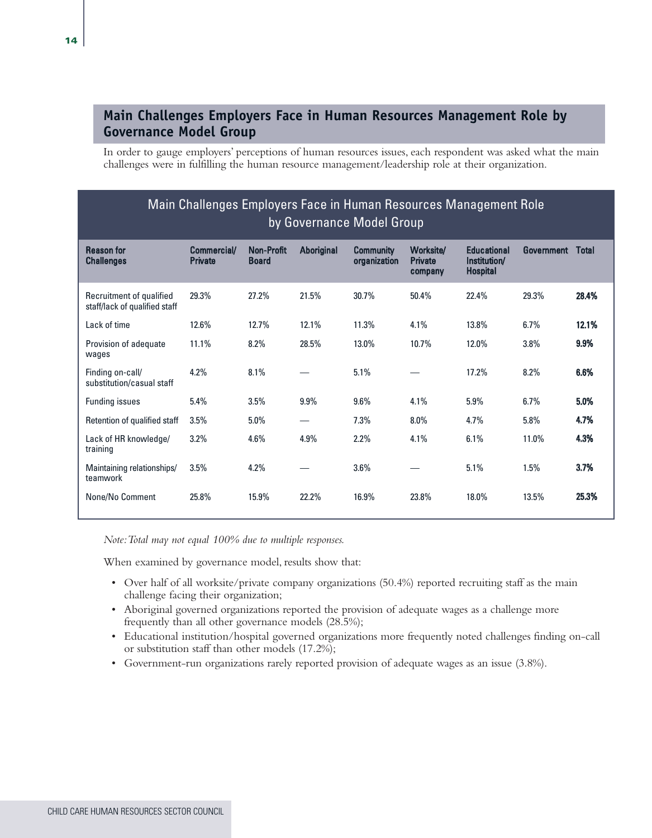### **Main Challenges Employers Face in Human Resources Management Role by Governance Model Group**

In order to gauge employers' perceptions of human resources issues, each respondent was asked what the main challenges were in fulfilling the human resource management/leadership role at their organization.

| Main Challenges Employers Face in Human Resources Management Role<br>by Governance Model Group |                               |                                   |            |                                  |                                        |                                                       |            |              |
|------------------------------------------------------------------------------------------------|-------------------------------|-----------------------------------|------------|----------------------------------|----------------------------------------|-------------------------------------------------------|------------|--------------|
| <b>Reason for</b><br><b>Challenges</b>                                                         | Commercial/<br><b>Private</b> | <b>Non-Profit</b><br><b>Board</b> | Aboriginal | <b>Community</b><br>organization | Worksite/<br><b>Private</b><br>company | <b>Educational</b><br>Institution/<br><b>Hospital</b> | Government | <b>Total</b> |
| Recruitment of qualified<br>staff/lack of qualified staff                                      | 29.3%                         | 27.2%                             | 21.5%      | 30.7%                            | 50.4%                                  | 22.4%                                                 | 29.3%      | 28.4%        |
| Lack of time                                                                                   | 12.6%                         | 12.7%                             | 12.1%      | 11.3%                            | 4.1%                                   | 13.8%                                                 | 6.7%       | 12.1%        |
| Provision of adequate<br>wages                                                                 | 11.1%                         | 8.2%                              | 28.5%      | 13.0%                            | 10.7%                                  | 12.0%                                                 | 3.8%       | 9.9%         |
| Finding on-call/<br>substitution/casual staff                                                  | 4.2%                          | 8.1%                              |            | 5.1%                             |                                        | 17.2%                                                 | 8.2%       | 6.6%         |
| <b>Funding issues</b>                                                                          | 5.4%                          | 3.5%                              | 9.9%       | 9.6%                             | 4.1%                                   | 5.9%                                                  | 6.7%       | 5.0%         |
| Retention of qualified staff                                                                   | 3.5%                          | $5.0\%$                           |            | 7.3%                             | 8.0%                                   | 4.7%                                                  | 5.8%       | 4.7%         |
| Lack of HR knowledge/<br>training                                                              | 3.2%                          | 4.6%                              | 4.9%       | 2.2%                             | 4.1%                                   | 6.1%                                                  | 11.0%      | 4.3%         |
| Maintaining relationships/<br>teamwork                                                         | 3.5%                          | 4.2%                              |            | 3.6%                             |                                        | 5.1%                                                  | 1.5%       | 3.7%         |
| None/No Comment                                                                                | 25.8%                         | 15.9%                             | 22.2%      | 16.9%                            | 23.8%                                  | 18.0%                                                 | 13.5%      | 25.3%        |

*Note: Total may not equal 100% due to multiple responses.*

When examined by governance model, results show that:

- Over half of all worksite/private company organizations (50.4%) reported recruiting staff as the main challenge facing their organization;
- Aboriginal governed organizations reported the provision of adequate wages as a challenge more frequently than all other governance models (28.5%);
- Educational institution/hospital governed organizations more frequently noted challenges finding on-call or substitution staff than other models (17.2%);
- Government-run organizations rarely reported provision of adequate wages as an issue (3.8%).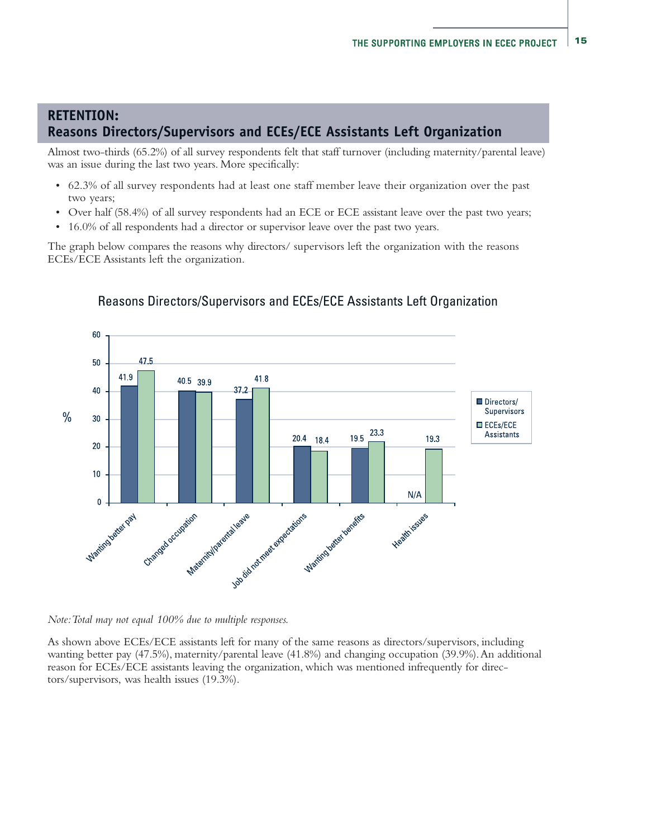## **RETENTION: Reasons Directors/Supervisors and ECEs/ECE Assistants Left Organization**

Almost two-thirds (65.2%) of all survey respondents felt that staff turnover (including maternity/parental leave) was an issue during the last two years. More specifically:

- 62.3% of all survey respondents had at least one staff member leave their organization over the past two years;
- Over half (58.4%) of all survey respondents had an ECE or ECE assistant leave over the past two years;
- 16.0% of all respondents had a director or supervisor leave over the past two years.

The graph below compares the reasons why directors/ supervisors left the organization with the reasons ECEs/ECE Assistants left the organization.



### Reasons Directors/Supervisors and ECEs/ECE Assistants Left Organization

*Note: Total may not equal 100% due to multiple responses.*

As shown above ECEs/ECE assistants left for many of the same reasons as directors/supervisors, including wanting better pay (47.5%), maternity/parental leave (41.8%) and changing occupation (39.9%). An additional reason for ECEs/ECE assistants leaving the organization, which was mentioned infrequently for directors/supervisors, was health issues (19.3%).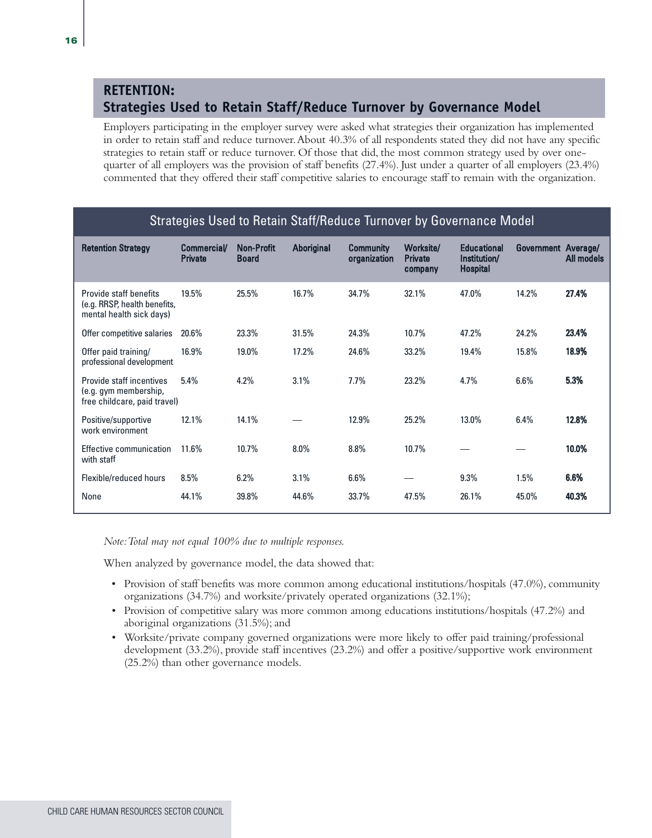### **RETENTION: Strategies Used to Retain Staff/Reduce Turnover by Governance Model**

Employers participating in the employer survey were asked what strategies their organization has implemented in order to retain staff and reduce turnover. About 40.3% of all respondents stated they did not have any specific strategies to retain staff or reduce turnover. Of those that did, the most common strategy used by over onequarter of all employers was the provision of staff benefits (27.4%). Just under a quarter of all employers (23.4%) commented that they offered their staff competitive salaries to encourage staff to remain with the organization.

|                                                                                    |                                      |                                   |                   | <u>odratograd doda to hotam otamphoadoo rannovor sy dovornanoo midadi</u> |                                        |                                                       |                     |                   |
|------------------------------------------------------------------------------------|--------------------------------------|-----------------------------------|-------------------|---------------------------------------------------------------------------|----------------------------------------|-------------------------------------------------------|---------------------|-------------------|
| <b>Retention Strategy</b>                                                          | <b>Commercial/</b><br><b>Private</b> | <b>Non-Profit</b><br><b>Board</b> | <b>Aboriginal</b> | <b>Community</b><br>organization                                          | Worksite/<br><b>Private</b><br>company | <b>Educational</b><br>Institution/<br><b>Hospital</b> | Government Average/ | <b>All models</b> |
| Provide staff benefits<br>(e.g. RRSP, health benefits,<br>mental health sick days) | 19.5%                                | 25.5%                             | 16.7%             | 34.7%                                                                     | 32.1%                                  | 47.0%                                                 | 14.2%               | 27.4%             |
| Offer competitive salaries                                                         | 20.6%                                | 23.3%                             | 31.5%             | 24.3%                                                                     | 10.7%                                  | 47.2%                                                 | 24.2%               | 23.4%             |
| Offer paid training/<br>professional development                                   | 16.9%                                | 19.0%                             | 17.2%             | 24.6%                                                                     | 33.2%                                  | 19.4%                                                 | 15.8%               | 18.9%             |
| Provide staff incentives<br>(e.g. gym membership,<br>free childcare, paid travel)  | 5.4%                                 | 4.2%                              | 3.1%              | 7.7%                                                                      | 23.2%                                  | 4.7%                                                  | 6.6%                | 5.3%              |
| Positive/supportive<br>work environment                                            | 12.1%                                | 14.1%                             |                   | 12.9%                                                                     | 25.2%                                  | 13.0%                                                 | 6.4%                | 12.8%             |
| Effective communication<br>with staff                                              | 11.6%                                | 10.7%                             | 8.0%              | 8.8%                                                                      | 10.7%                                  |                                                       |                     | 10.0%             |
| Flexible/reduced hours                                                             | 8.5%                                 | 6.2%                              | 3.1%              | $6.6\%$                                                                   |                                        | 9.3%                                                  | 1.5%                | 6.6%              |
| None                                                                               | 44.1%                                | 39.8%                             | 44.6%             | 33.7%                                                                     | 47.5%                                  | 26.1%                                                 | 45.0%               | 40.3%             |

### Strategies Used to Retain Staff/Reduce Turnover by Governance Model

*Note: Total may not equal 100% due to multiple responses.* 

When analyzed by governance model, the data showed that:

- Provision of staff benefits was more common among educational institutions/hospitals (47.0%), community organizations (34.7%) and worksite/privately operated organizations (32.1%);
- Provision of competitive salary was more common among educations institutions/hospitals (47.2%) and aboriginal organizations (31.5%); and
- Worksite/private company governed organizations were more likely to offer paid training/professional development (33.2%), provide staff incentives (23.2%) and offer a positive/supportive work environment (25.2%) than other governance models.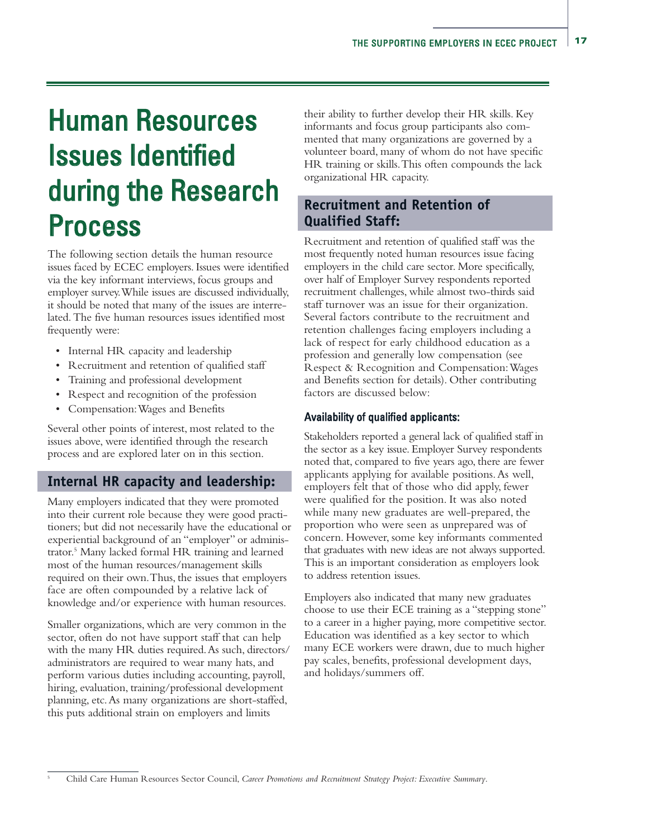# Human Resources Issues Identified during the Research Process

The following section details the human resource issues faced by ECEC employers. Issues were identified via the key informant interviews, focus groups and employer survey. While issues are discussed individually, it should be noted that many of the issues are interrelated. The five human resources issues identified most frequently were:

- Internal HR capacity and leadership
- Recruitment and retention of qualified staff
- Training and professional development
- Respect and recognition of the profession
- Compensation: Wages and Benefits

Several other points of interest, most related to the issues above, were identified through the research process and are explored later on in this section.

### **Internal HR capacity and leadership:**

Many employers indicated that they were promoted into their current role because they were good practitioners; but did not necessarily have the educational or experiential background of an "employer" or administrator.5 Many lacked formal HR training and learned most of the human resources/management skills required on their own. Thus, the issues that employers face are often compounded by a relative lack of knowledge and/or experience with human resources.

Smaller organizations, which are very common in the sector, often do not have support staff that can help with the many HR duties required. As such, directors/ administrators are required to wear many hats, and perform various duties including accounting, payroll, hiring, evaluation, training/professional development planning, etc. As many organizations are short-staffed, this puts additional strain on employers and limits

their ability to further develop their HR skills. Key informants and focus group participants also commented that many organizations are governed by a volunteer board, many of whom do not have specific HR training or skills. This often compounds the lack organizational HR capacity.

### **Recruitment and Retention of Qualified Staff:**

Recruitment and retention of qualified staff was the most frequently noted human resources issue facing employers in the child care sector. More specifically, over half of Employer Survey respondents reported recruitment challenges, while almost two-thirds said staff turnover was an issue for their organization. Several factors contribute to the recruitment and retention challenges facing employers including a lack of respect for early childhood education as a profession and generally low compensation (see Respect & Recognition and Compensation: Wages and Benefits section for details). Other contributing factors are discussed below:

#### Availability of qualified applicants:

Stakeholders reported a general lack of qualified staff in the sector as a key issue. Employer Survey respondents noted that, compared to five years ago, there are fewer applicants applying for available positions. As well, employers felt that of those who did apply, fewer were qualified for the position. It was also noted while many new graduates are well-prepared, the proportion who were seen as unprepared was of concern. However, some key informants commented that graduates with new ideas are not always supported. This is an important consideration as employers look to address retention issues.

Employers also indicated that many new graduates choose to use their ECE training as a "stepping stone" to a career in a higher paying, more competitive sector. Education was identified as a key sector to which many ECE workers were drawn, due to much higher pay scales, benefits, professional development days, and holidays/summers off.

<sup>5</sup> Child Care Human Resources Sector Council, *Career Promotions and Recruitment Strategy Project: Executive Summary*.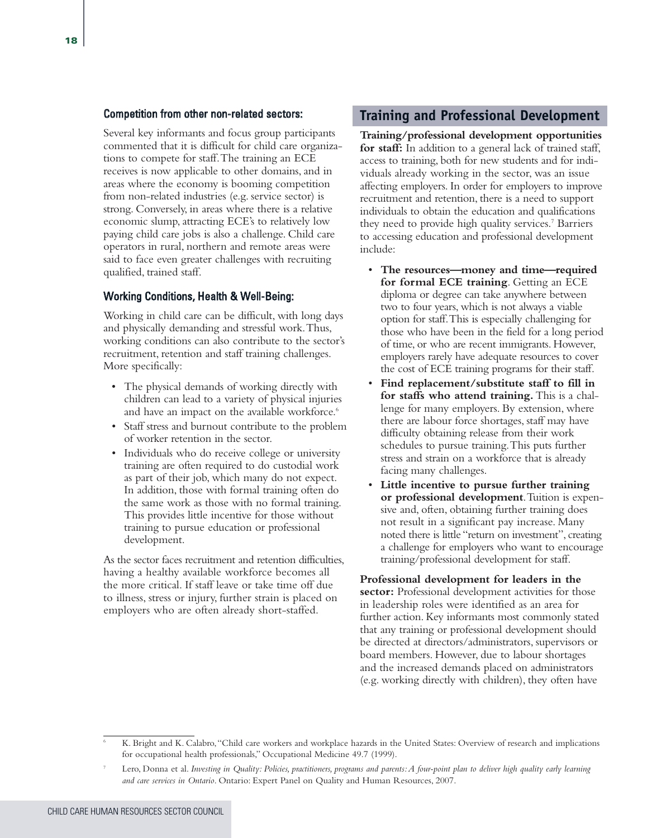#### Competition from other non-related sectors:

Several key informants and focus group participants commented that it is difficult for child care organizations to compete for staff. The training an ECE receives is now applicable to other domains, and in areas where the economy is booming competition from non-related industries (e.g. service sector) is strong. Conversely, in areas where there is a relative economic slump, attracting ECE's to relatively low paying child care jobs is also a challenge. Child care operators in rural, northern and remote areas were said to face even greater challenges with recruiting qualified, trained staff.

#### Working Conditions, Health & Well-Being:

Working in child care can be difficult, with long days and physically demanding and stressful work. Thus, working conditions can also contribute to the sector's recruitment, retention and staff training challenges. More specifically:

- The physical demands of working directly with children can lead to a variety of physical injuries and have an impact on the available workforce.<sup>6</sup>
- Staff stress and burnout contribute to the problem of worker retention in the sector.
- Individuals who do receive college or university training are often required to do custodial work as part of their job, which many do not expect. In addition, those with formal training often do the same work as those with no formal training. This provides little incentive for those without training to pursue education or professional development.

As the sector faces recruitment and retention difficulties, having a healthy available workforce becomes all the more critical. If staff leave or take time off due to illness, stress or injury, further strain is placed on employers who are often already short-staffed.

#### **Training and Professional Development**

**Training/professional development opportunities for staff:** In addition to a general lack of trained staff, access to training, both for new students and for individuals already working in the sector, was an issue affecting employers. In order for employers to improve recruitment and retention, there is a need to support individuals to obtain the education and qualifications they need to provide high quality services.<sup>7</sup> Barriers to accessing education and professional development include:

- **The resources—money and time—required for formal ECE training**. Getting an ECE diploma or degree can take anywhere between two to four years, which is not always a viable option for staff. This is especially challenging for those who have been in the field for a long period of time, or who are recent immigrants. However, employers rarely have adequate resources to cover the cost of ECE training programs for their staff.
- **Find replacement/substitute staff to fill in for staffs who attend training.**This is a challenge for many employers. By extension, where there are labour force shortages, staff may have difficulty obtaining release from their work schedules to pursue training. This puts further stress and strain on a workforce that is already facing many challenges.
- **Little incentive to pursue further training or professional development**. Tuition is expensive and, often, obtaining further training does not result in a significant pay increase. Many noted there is little "return on investment", creating a challenge for employers who want to encourage training/professional development for staff.

**Professional development for leaders in the sector:** Professional development activities for those in leadership roles were identified as an area for further action. Key informants most commonly stated that any training or professional development should be directed at directors/administrators, supervisors or board members. However, due to labour shortages and the increased demands placed on administrators (e.g. working directly with children), they often have

<sup>6</sup> K. Bright and K. Calabro, "Child care workers and workplace hazards in the United States: Overview of research and implications for occupational health professionals," Occupational Medicine 49.7 (1999).

<sup>7</sup> Lero, Donna et al. *Investing in Quality: Policies, practitioners, programs and parents: A four-point plan to deliver high quality early learning and care services in Ontario*. Ontario: Expert Panel on Quality and Human Resources, 2007.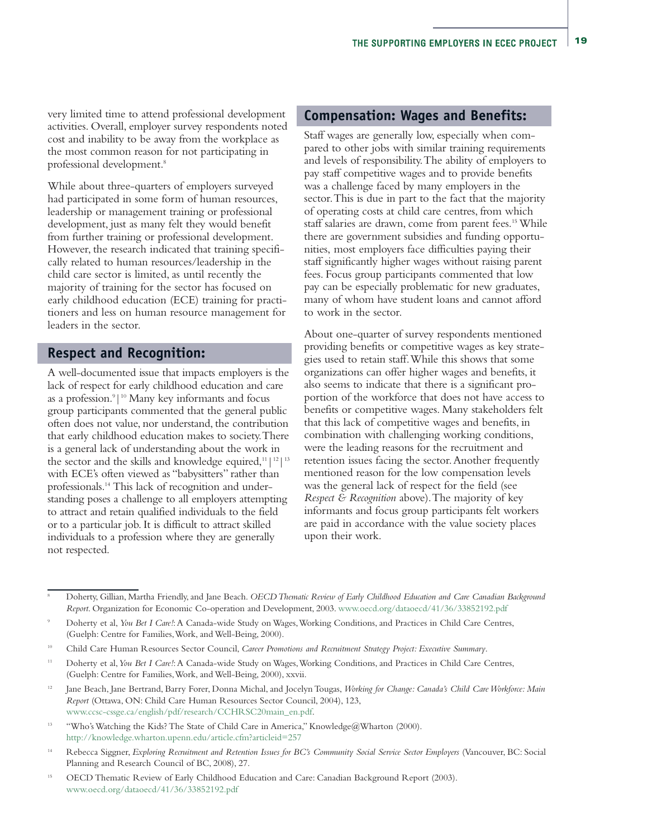very limited time to attend professional development activities. Overall, employer survey respondents noted cost and inability to be away from the workplace as the most common reason for not participating in professional development.8

While about three-quarters of employers surveyed had participated in some form of human resources, leadership or management training or professional development, just as many felt they would benefit from further training or professional development. However, the research indicated that training specifically related to human resources/leadership in the child care sector is limited, as until recently the majority of training for the sector has focused on early childhood education (ECE) training for practitioners and less on human resource management for leaders in the sector.

#### **Respect and Recognition:**

A well-documented issue that impacts employers is the lack of respect for early childhood education and care as a profession.<sup>9</sup>|<sup>10</sup> Many key informants and focus group participants commented that the general public often does not value, nor understand, the contribution that early childhood education makes to society. There is a general lack of understanding about the work in the sector and the skills and knowledge equired, $11/12/13$ with ECE's often viewed as "babysitters" rather than professionals.14 This lack of recognition and understanding poses a challenge to all employers attempting to attract and retain qualified individuals to the field or to a particular job. It is difficult to attract skilled individuals to a profession where they are generally not respected.

#### **Compensation: Wages and Benefits:**

Staff wages are generally low, especially when compared to other jobs with similar training requirements and levels of responsibility. The ability of employers to pay staff competitive wages and to provide benefits was a challenge faced by many employers in the sector. This is due in part to the fact that the majority of operating costs at child care centres, from which staff salaries are drawn, come from parent fees.<sup>15</sup> While there are government subsidies and funding opportunities, most employers face difficulties paying their staff significantly higher wages without raising parent fees. Focus group participants commented that low pay can be especially problematic for new graduates, many of whom have student loans and cannot afford to work in the sector.

About one-quarter of survey respondents mentioned providing benefits or competitive wages as key strategies used to retain staff. While this shows that some organizations can offer higher wages and benefits, it also seems to indicate that there is a significant proportion of the workforce that does not have access to benefits or competitive wages. Many stakeholders felt that this lack of competitive wages and benefits, in combination with challenging working conditions, were the leading reasons for the recruitment and retention issues facing the sector. Another frequently mentioned reason for the low compensation levels was the general lack of respect for the field (see *Respect & Recognition* above). The majority of key informants and focus group participants felt workers are paid in accordance with the value society places upon their work.

- <sup>13</sup> "Who's Watching the Kids? The State of Child Care in America," Knowledge@Wharton (2000). http://knowledge.wharton.upenn.edu/article.cfm?articleid=257
- <sup>14</sup> Rebecca Siggner, *Exploring Recruitment and Retention Issues for BC's Community Social Service Sector Employers* (Vancouver, BC: Social Planning and Research Council of BC, 2008), 27.
- <sup>15</sup> OECD Thematic Review of Early Childhood Education and Care: Canadian Background Report (2003). www.oecd.org/dataoecd/41/36/33852192.pdf

<sup>8</sup> Doherty, Gillian, Martha Friendly, and Jane Beach. *OECD Thematic Review of Early Childhood Education and Care Canadian Background Report*. Organization for Economic Co-operation and Development, 2003. www.oecd.org/dataoecd/41/36/33852192.pdf

<sup>9</sup> Doherty et al, *You Bet I Care!*: A Canada-wide Study on Wages, Working Conditions, and Practices in Child Care Centres, (Guelph: Centre for Families, Work, and Well-Being, 2000).

<sup>10</sup> Child Care Human Resources Sector Council, *Career Promotions and Recruitment Strategy Project: Executive Summary*.

<sup>11</sup> Doherty et al,*You Bet I Care!*: A Canada-wide Study on Wages, Working Conditions, and Practices in Child Care Centres, (Guelph: Centre for Families, Work, and Well-Being, 2000), xxvii.

<sup>&</sup>lt;sup>12</sup> Jane Beach, Jane Bertrand, Barry Forer, Donna Michal, and Jocelyn Tougas, *Working for Change: Canada's Child Care Workforce: Main Report* (Ottawa, ON: Child Care Human Resources Sector Council, 2004), 123, www.ccsc-cssge.ca/english/pdf/research/CCHRSC20main\_en.pdf.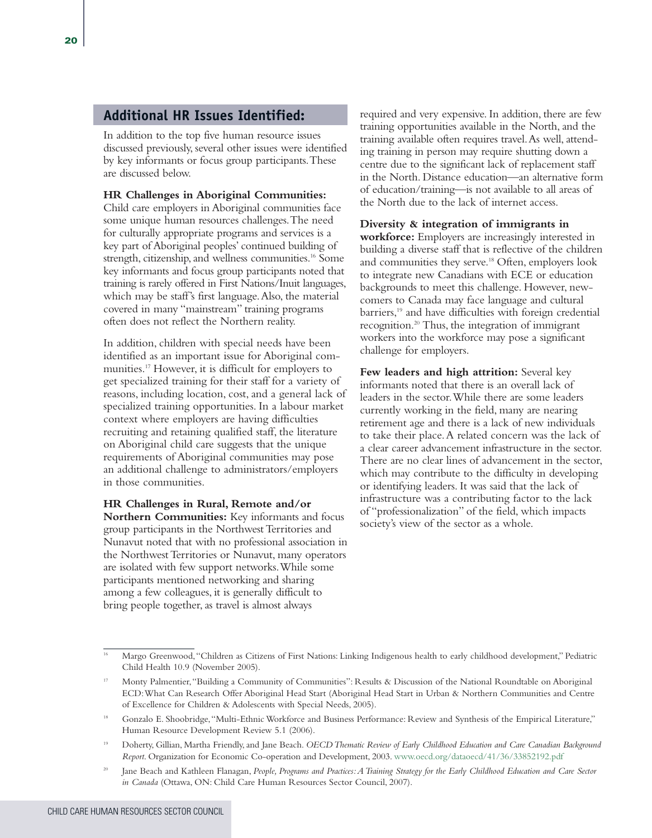#### **Additional HR Issues Identified:**

In addition to the top five human resource issues discussed previously, several other issues were identified by key informants or focus group participants. These are discussed below.

#### **HR Challenges in Aboriginal Communities:**

Child care employers in Aboriginal communities face some unique human resources challenges. The need for culturally appropriate programs and services is a key part of Aboriginal peoples' continued building of strength, citizenship, and wellness communities.<sup>16</sup> Some key informants and focus group participants noted that training is rarely offered in First Nations/Inuit languages, which may be staff's first language. Also, the material covered in many "mainstream" training programs often does not reflect the Northern reality.

In addition, children with special needs have been identified as an important issue for Aboriginal communities.17 However, it is difficult for employers to get specialized training for their staff for a variety of reasons, including location, cost, and a general lack of specialized training opportunities. In a labour market context where employers are having difficulties recruiting and retaining qualified staff, the literature on Aboriginal child care suggests that the unique requirements of Aboriginal communities may pose an additional challenge to administrators/employers in those communities.

#### **HR Challenges in Rural, Remote and/or**

**Northern Communities:** Key informants and focus group participants in the Northwest Territories and Nunavut noted that with no professional association in the Northwest Territories or Nunavut, many operators are isolated with few support networks. While some participants mentioned networking and sharing among a few colleagues, it is generally difficult to bring people together, as travel is almost always

required and very expensive. In addition, there are few training opportunities available in the North, and the training available often requires travel. As well, attending training in person may require shutting down a centre due to the significant lack of replacement staff in the North. Distance education—an alternative form of education/training—is not available to all areas of the North due to the lack of internet access.

#### **Diversity & integration of immigrants in**

 **workforce:** Employers are increasingly interested in building a diverse staff that is reflective of the children and communities they serve.18 Often, employers look to integrate new Canadians with ECE or education backgrounds to meet this challenge. However, newcomers to Canada may face language and cultural barriers,<sup>19</sup> and have difficulties with foreign credential recognition.20 Thus, the integration of immigrant workers into the workforce may pose a significant challenge for employers.

**Few leaders and high attrition:** Several key informants noted that there is an overall lack of leaders in the sector. While there are some leaders currently working in the field, many are nearing retirement age and there is a lack of new individuals to take their place. A related concern was the lack of a clear career advancement infrastructure in the sector. There are no clear lines of advancement in the sector, which may contribute to the difficulty in developing or identifying leaders. It was said that the lack of infrastructure was a contributing factor to the lack of "professionalization" of the field, which impacts society's view of the sector as a whole.

<sup>16</sup> Margo Greenwood, "Children as Citizens of First Nations: Linking Indigenous health to early childhood development," Pediatric Child Health 10.9 (November 2005).

<sup>17</sup> Monty Palmentier, "Building a Community of Communities": Results & Discussion of the National Roundtable on Aboriginal ECD: What Can Research Offer Aboriginal Head Start (Aboriginal Head Start in Urban & Northern Communities and Centre of Excellence for Children & Adolescents with Special Needs, 2005).

<sup>18</sup> Gonzalo E. Shoobridge, "Multi-Ethnic Workforce and Business Performance: Review and Synthesis of the Empirical Literature," Human Resource Development Review 5.1 (2006).

<sup>19</sup> Doherty, Gillian, Martha Friendly, and Jane Beach. *OECD Thematic Review of Early Childhood Education and Care Canadian Background Report*. Organization for Economic Co-operation and Development, 2003. www.oecd.org/dataoecd/41/36/33852192.pdf

<sup>20</sup> Jane Beach and Kathleen Flanagan, *People, Programs and Practices: A Training Strategy for the Early Childhood Education and Care Sector in Canada* (Ottawa, ON: Child Care Human Resources Sector Council, 2007).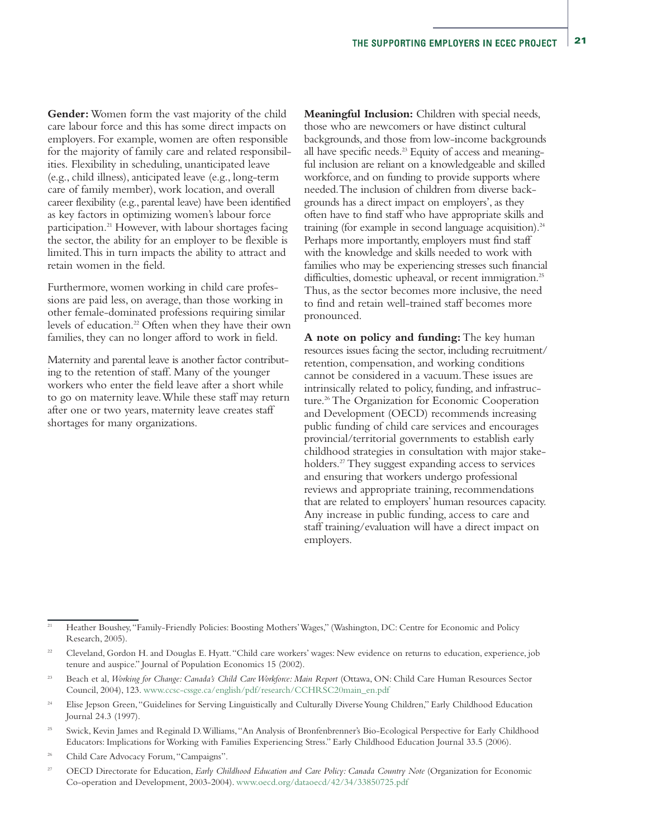**Gender:**Women form the vast majority of the child care labour force and this has some direct impacts on employers. For example, women are often responsible for the majority of family care and related responsibilities. Flexibility in scheduling, unanticipated leave (e.g., child illness), anticipated leave (e.g., long-term care of family member), work location, and overall career flexibility (e.g., parental leave) have been identified as key factors in optimizing women's labour force participation.21 However, with labour shortages facing the sector, the ability for an employer to be flexible is limited. This in turn impacts the ability to attract and retain women in the field.

Furthermore, women working in child care professions are paid less, on average, than those working in other female-dominated professions requiring similar levels of education.<sup>22</sup> Often when they have their own families, they can no longer afford to work in field.

Maternity and parental leave is another factor contributing to the retention of staff. Many of the younger workers who enter the field leave after a short while to go on maternity leave. While these staff may return after one or two years, maternity leave creates staff shortages for many organizations.

**Meaningful Inclusion:** Children with special needs, those who are newcomers or have distinct cultural backgrounds, and those from low-income backgrounds all have specific needs.<sup>23</sup> Equity of access and meaningful inclusion are reliant on a knowledgeable and skilled workforce, and on funding to provide supports where needed. The inclusion of children from diverse backgrounds has a direct impact on employers', as they often have to find staff who have appropriate skills and training (for example in second language acquisition).<sup>24</sup> Perhaps more importantly, employers must find staff with the knowledge and skills needed to work with families who may be experiencing stresses such financial difficulties, domestic upheaval, or recent immigration.<sup>25</sup> Thus, as the sector becomes more inclusive, the need to find and retain well-trained staff becomes more pronounced.

**A note on policy and funding:**The key human resources issues facing the sector, including recruitment/ retention, compensation, and working conditions cannot be considered in a vacuum. These issues are intrinsically related to policy, funding, and infrastructure.<sup>26</sup> The Organization for Economic Cooperation and Development (OECD) recommends increasing public funding of child care services and encourages provincial/territorial governments to establish early childhood strategies in consultation with major stakeholders.<sup>27</sup> They suggest expanding access to services and ensuring that workers undergo professional reviews and appropriate training, recommendations that are related to employers' human resources capacity. Any increase in public funding, access to care and staff training/evaluation will have a direct impact on employers.

- <sup>24</sup> Elise Jepson Green, "Guidelines for Serving Linguistically and Culturally Diverse Young Children," Early Childhood Education Journal 24.3 (1997).
- <sup>25</sup> Swick, Kevin James and Reginald D. Williams, "An Analysis of Bronfenbrenner's Bio-Ecological Perspective for Early Childhood Educators: Implications for Working with Families Experiencing Stress." Early Childhood Education Journal 33.5 (2006).
- <sup>26</sup> Child Care Advocacy Forum, "Campaigns".

<sup>&</sup>lt;sup>21</sup> Heather Boushey, "Family-Friendly Policies: Boosting Mothers' Wages," (Washington, DC: Centre for Economic and Policy Research, 2005).

<sup>&</sup>lt;sup>22</sup> Cleveland, Gordon H. and Douglas E. Hyatt. "Child care workers' wages: New evidence on returns to education, experience, job tenure and auspice." Journal of Population Economics 15 (2002).

<sup>23</sup> Beach et al, *Working for Change: Canada's Child Care Workforce: Main Report* (Ottawa, ON: Child Care Human Resources Sector Council, 2004), 123. www.ccsc-cssge.ca/english/pdf/research/CCHRSC20main\_en.pdf

<sup>&</sup>lt;sup>27</sup> OECD Directorate for Education, *Early Childhood Education and Care Policy: Canada Country Note* (Organization for Economic Co-operation and Development, 2003-2004). www.oecd.org/dataoecd/42/34/33850725.pdf